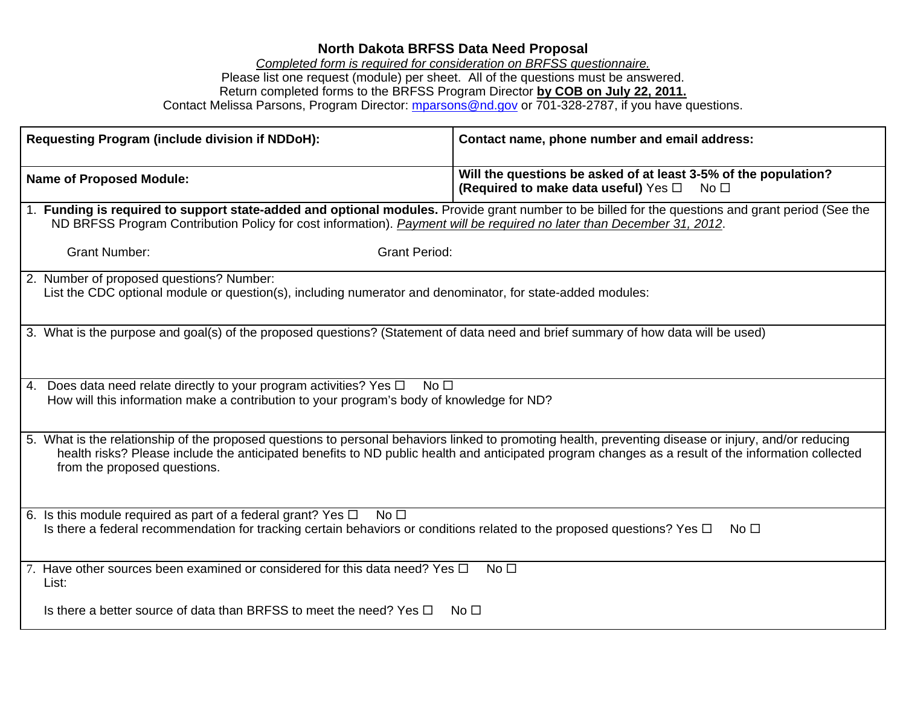## **North Dakota BRFSS Data Need Proposal**

*Completed form is required for consideration on BRFSS questionnaire.*  Please list one request (module) per sheet. All of the questions must be answered. Return completed forms to the BRFSS Program Director **by COB on July 22, 2011.** Contact Melissa Parsons, Program Director: mparsons@nd.gov or 701-328-2787, if you have questions.

| Requesting Program (include division if NDDoH):                                                                                                                                                                                                                                                                                             | Contact name, phone number and email address:                                                                              |
|---------------------------------------------------------------------------------------------------------------------------------------------------------------------------------------------------------------------------------------------------------------------------------------------------------------------------------------------|----------------------------------------------------------------------------------------------------------------------------|
| <b>Name of Proposed Module:</b>                                                                                                                                                                                                                                                                                                             | Will the questions be asked of at least 3-5% of the population?<br>(Required to make data useful) Yes □<br>No <sub>1</sub> |
| 1. Funding is required to support state-added and optional modules. Provide grant number to be billed for the questions and grant period (See the<br>ND BRFSS Program Contribution Policy for cost information). Payment will be required no later than December 31, 2012.                                                                  |                                                                                                                            |
| <b>Grant Number:</b><br><b>Grant Period:</b>                                                                                                                                                                                                                                                                                                |                                                                                                                            |
| 2. Number of proposed questions? Number:<br>List the CDC optional module or question(s), including numerator and denominator, for state-added modules:                                                                                                                                                                                      |                                                                                                                            |
| 3. What is the purpose and goal(s) of the proposed questions? (Statement of data need and brief summary of how data will be used)                                                                                                                                                                                                           |                                                                                                                            |
| 4. Does data need relate directly to your program activities? Yes $\Box$<br>No $\square$<br>How will this information make a contribution to your program's body of knowledge for ND?                                                                                                                                                       |                                                                                                                            |
| 5. What is the relationship of the proposed questions to personal behaviors linked to promoting health, preventing disease or injury, and/or reducing<br>health risks? Please include the anticipated benefits to ND public health and anticipated program changes as a result of the information collected<br>from the proposed questions. |                                                                                                                            |
| 6. Is this module required as part of a federal grant? Yes $\Box$ No $\Box$<br>Is there a federal recommendation for tracking certain behaviors or conditions related to the proposed questions? Yes $\Box$                                                                                                                                 | No $\square$                                                                                                               |
| 7. Have other sources been examined or considered for this data need? Yes $\Box$<br>List:                                                                                                                                                                                                                                                   | No <sub>1</sub>                                                                                                            |
| Is there a better source of data than BRFSS to meet the need? Yes $\Box$                                                                                                                                                                                                                                                                    | No <sub>1</sub>                                                                                                            |